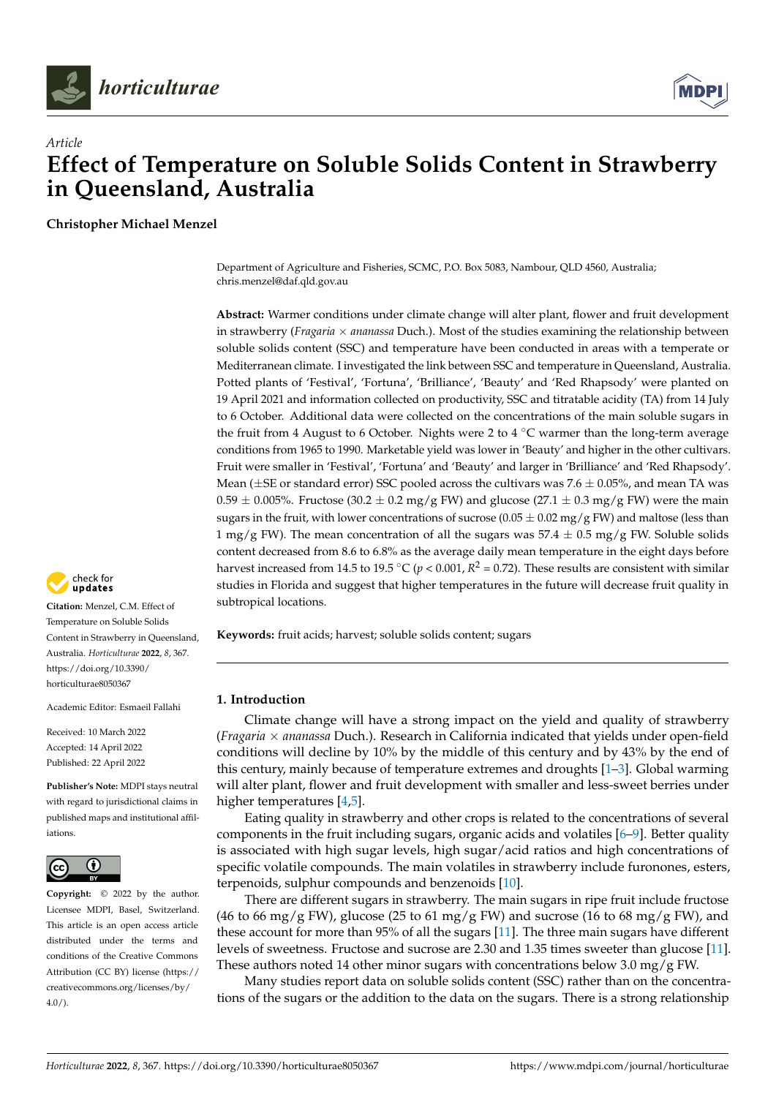



# *Article* **Effect of Temperature on Soluble Solids Content in Strawberry in Queensland, Australia**

**Christopher Michael Menzel**

Department of Agriculture and Fisheries, SCMC, P.O. Box 5083, Nambour, QLD 4560, Australia; chris.menzel@daf.qld.gov.au

**Abstract:** Warmer conditions under climate change will alter plant, flower and fruit development in strawberry (*Fragaria* × *ananassa* Duch.). Most of the studies examining the relationship between soluble solids content (SSC) and temperature have been conducted in areas with a temperate or Mediterranean climate. I investigated the link between SSC and temperature in Queensland, Australia. Potted plants of 'Festival', 'Fortuna', 'Brilliance', 'Beauty' and 'Red Rhapsody' were planted on 19 April 2021 and information collected on productivity, SSC and titratable acidity (TA) from 14 July to 6 October. Additional data were collected on the concentrations of the main soluble sugars in the fruit from 4 August to 6 October. Nights were 2 to 4 °C warmer than the long-term average conditions from 1965 to 1990. Marketable yield was lower in 'Beauty' and higher in the other cultivars. Fruit were smaller in 'Festival', 'Fortuna' and 'Beauty' and larger in 'Brilliance' and 'Red Rhapsody'. Mean ( $\pm$ SE or standard error) SSC pooled across the cultivars was 7.6  $\pm$  0.05%, and mean TA was  $0.59 \pm 0.005$ %. Fructose (30.2  $\pm$  0.2 mg/g FW) and glucose (27.1  $\pm$  0.3 mg/g FW) were the main sugars in the fruit, with lower concentrations of sucrose (0.05  $\pm$  0.02 mg/g FW) and maltose (less than 1 mg/g FW). The mean concentration of all the sugars was  $57.4 \pm 0.5$  mg/g FW. Soluble solids content decreased from 8.6 to 6.8% as the average daily mean temperature in the eight days before harvest increased from 14.5 to 19.5 °C ( $p < 0.001$ ,  $R^2 = 0.72$ ). These results are consistent with similar studies in Florida and suggest that higher temperatures in the future will decrease fruit quality in subtropical locations.

**Keywords:** fruit acids; harvest; soluble solids content; sugars

## **1. Introduction**

Climate change will have a strong impact on the yield and quality of strawberry (*Fragaria* × *ananassa* Duch.). Research in California indicated that yields under open-field conditions will decline by 10% by the middle of this century and by 43% by the end of this century, mainly because of temperature extremes and droughts [\[1](#page-8-0)[–3\]](#page-8-1). Global warming will alter plant, flower and fruit development with smaller and less-sweet berries under higher temperatures [\[4](#page-8-2)[,5\]](#page-8-3).

Eating quality in strawberry and other crops is related to the concentrations of several components in the fruit including sugars, organic acids and volatiles [\[6–](#page-8-4)[9\]](#page-8-5). Better quality is associated with high sugar levels, high sugar/acid ratios and high concentrations of specific volatile compounds. The main volatiles in strawberry include furonones, esters, terpenoids, sulphur compounds and benzenoids [\[10\]](#page-8-6).

There are different sugars in strawberry. The main sugars in ripe fruit include fructose (46 to 66 mg/g FW), glucose (25 to 61 mg/g FW) and sucrose (16 to 68 mg/g FW), and these account for more than 95% of all the sugars [\[11\]](#page-8-7). The three main sugars have different levels of sweetness. Fructose and sucrose are 2.30 and 1.35 times sweeter than glucose [\[11\]](#page-8-7). These authors noted 14 other minor sugars with concentrations below 3.0 mg/g FW.

Many studies report data on soluble solids content (SSC) rather than on the concentrations of the sugars or the addition to the data on the sugars. There is a strong relationship



**Citation:** Menzel, C.M. Effect of Temperature on Soluble Solids Content in Strawberry in Queensland, Australia. *Horticulturae* **2022**, *8*, 367. [https://doi.org/10.3390/](https://doi.org/10.3390/horticulturae8050367) [horticulturae8050367](https://doi.org/10.3390/horticulturae8050367)

Academic Editor: Esmaeil Fallahi

Received: 10 March 2022 Accepted: 14 April 2022 Published: 22 April 2022

**Publisher's Note:** MDPI stays neutral with regard to jurisdictional claims in published maps and institutional affiliations.



**Copyright:** © 2022 by the author. Licensee MDPI, Basel, Switzerland. This article is an open access article distributed under the terms and conditions of the Creative Commons Attribution (CC BY) license [\(https://](https://creativecommons.org/licenses/by/4.0/) [creativecommons.org/licenses/by/](https://creativecommons.org/licenses/by/4.0/)  $4.0/$ ).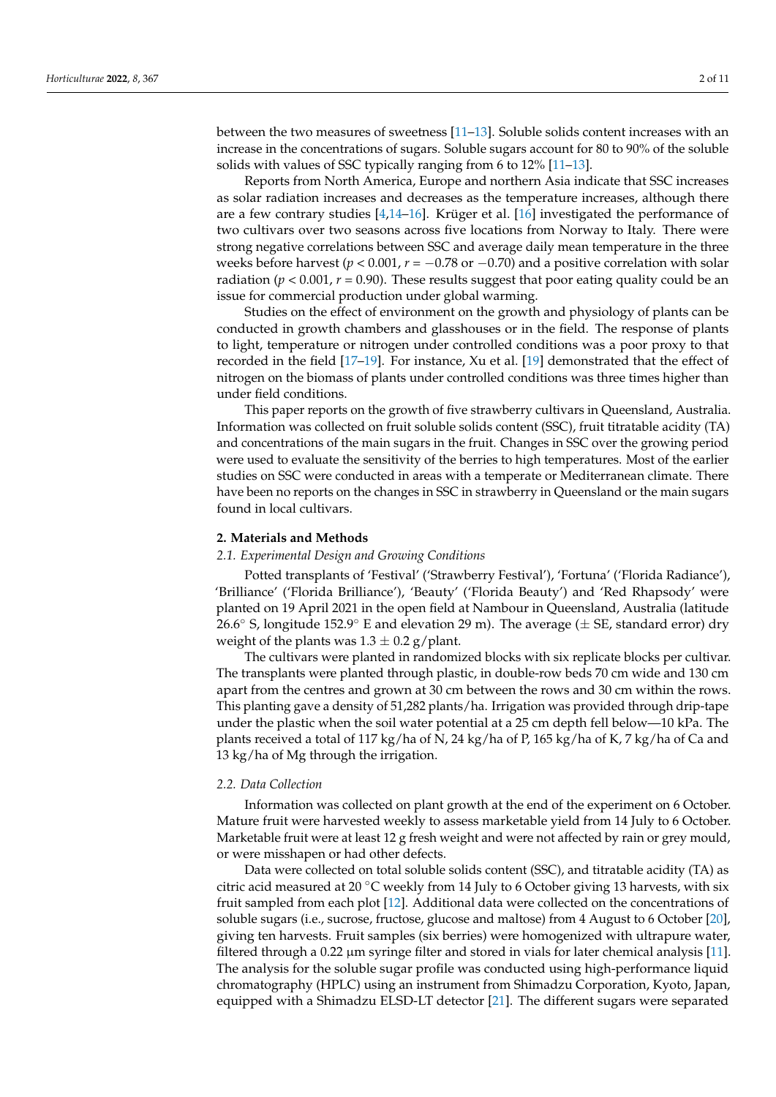between the two measures of sweetness [\[11](#page-8-7)[–13\]](#page-8-8). Soluble solids content increases with an increase in the concentrations of sugars. Soluble sugars account for 80 to 90% of the soluble solids with values of SSC typically ranging from 6 to 12% [\[11](#page-8-7)[–13\]](#page-8-8).

Reports from North America, Europe and northern Asia indicate that SSC increases as solar radiation increases and decreases as the temperature increases, although there are a few contrary studies [\[4,](#page-8-2)[14–](#page-8-9)[16\]](#page-8-10). Krüger et al. [\[16\]](#page-8-10) investigated the performance of two cultivars over two seasons across five locations from Norway to Italy. There were strong negative correlations between SSC and average daily mean temperature in the three weeks before harvest ( $p < 0.001$ ,  $r = -0.78$  or  $-0.70$ ) and a positive correlation with solar radiation ( $p < 0.001$ ,  $r = 0.90$ ). These results suggest that poor eating quality could be an issue for commercial production under global warming.

Studies on the effect of environment on the growth and physiology of plants can be conducted in growth chambers and glasshouses or in the field. The response of plants to light, temperature or nitrogen under controlled conditions was a poor proxy to that recorded in the field [\[17](#page-8-11)[–19\]](#page-8-12). For instance, Xu et al. [\[19\]](#page-8-12) demonstrated that the effect of nitrogen on the biomass of plants under controlled conditions was three times higher than under field conditions.

This paper reports on the growth of five strawberry cultivars in Queensland, Australia. Information was collected on fruit soluble solids content (SSC), fruit titratable acidity (TA) and concentrations of the main sugars in the fruit. Changes in SSC over the growing period were used to evaluate the sensitivity of the berries to high temperatures. Most of the earlier studies on SSC were conducted in areas with a temperate or Mediterranean climate. There have been no reports on the changes in SSC in strawberry in Queensland or the main sugars found in local cultivars.

### **2. Materials and Methods**

## *2.1. Experimental Design and Growing Conditions*

Potted transplants of 'Festival' ('Strawberry Festival'), 'Fortuna' ('Florida Radiance'), 'Brilliance' ('Florida Brilliance'), 'Beauty' ('Florida Beauty') and 'Red Rhapsody' were planted on 19 April 2021 in the open field at Nambour in Queensland, Australia (latitude 26.6 $\degree$  S, longitude 152.9 $\degree$  E and elevation 29 m). The average ( $\pm$  SE, standard error) dry weight of the plants was  $1.3 \pm 0.2$  g/plant.

The cultivars were planted in randomized blocks with six replicate blocks per cultivar. The transplants were planted through plastic, in double-row beds 70 cm wide and 130 cm apart from the centres and grown at 30 cm between the rows and 30 cm within the rows. This planting gave a density of 51,282 plants/ha. Irrigation was provided through drip-tape under the plastic when the soil water potential at a 25 cm depth fell below—10 kPa. The plants received a total of 117 kg/ha of N, 24 kg/ha of P, 165 kg/ha of K, 7 kg/ha of Ca and 13 kg/ha of Mg through the irrigation.

#### *2.2. Data Collection*

Information was collected on plant growth at the end of the experiment on 6 October. Mature fruit were harvested weekly to assess marketable yield from 14 July to 6 October. Marketable fruit were at least 12 g fresh weight and were not affected by rain or grey mould, or were misshapen or had other defects.

Data were collected on total soluble solids content (SSC), and titratable acidity (TA) as citric acid measured at 20  $\degree$ C weekly from 14 July to 6 October giving 13 harvests, with six fruit sampled from each plot [\[12\]](#page-8-13). Additional data were collected on the concentrations of soluble sugars (i.e., sucrose, fructose, glucose and maltose) from 4 August to 6 October [\[20\]](#page-8-14), giving ten harvests. Fruit samples (six berries) were homogenized with ultrapure water, filtered through a 0.22  $\mu$ m syringe filter and stored in vials for later chemical analysis [\[11\]](#page-8-7). The analysis for the soluble sugar profile was conducted using high-performance liquid chromatography (HPLC) using an instrument from Shimadzu Corporation, Kyoto, Japan, equipped with a Shimadzu ELSD-LT detector [\[21\]](#page-8-15). The different sugars were separated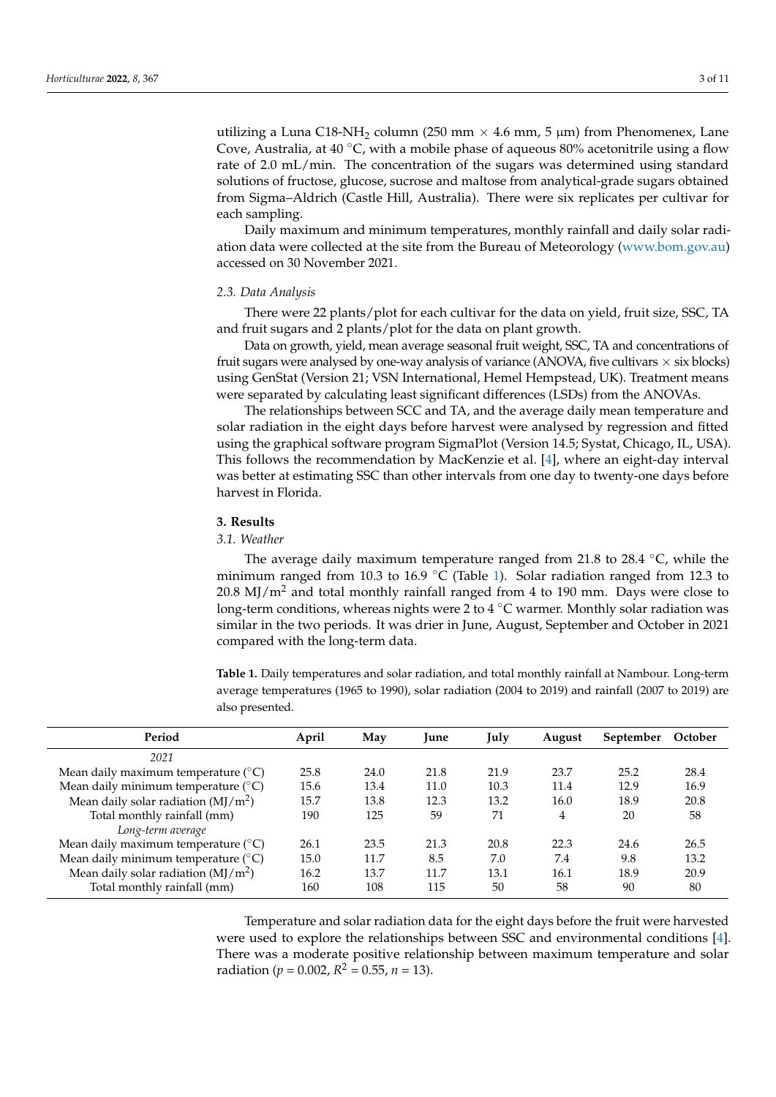utilizing a Luna C18-NH<sub>2</sub> column (250 mm  $\times$  4.6 mm, 5 µm) from Phenomenex, Lane Cove, Australia, at  $40 \degree C$ , with a mobile phase of aqueous 80% acetonitrile using a flow rate of 2.0 mL/min. The concentration of the sugars was determined using standard solutions of fructose, glucose, sucrose and maltose from analytical-grade sugars obtained from Sigma–Aldrich (Castle Hill, Australia). There were six replicates per cultivar for each sampling.

Daily maximum and minimum temperatures, monthly rainfall and daily solar radi-ation data were collected at the site from the Bureau of Meteorology [\(www.bom.gov.au\)](www.bom.gov.au) accessed on 30 November 2021.

## *2.3. Data Analysis*

There were 22 plants/plot for each cultivar for the data on yield, fruit size, SSC, TA and fruit sugars and 2 plants/plot for the data on plant growth.

Data on growth, yield, mean average seasonal fruit weight, SSC, TA and concentrations of fruit sugars were analysed by one-way analysis of variance (ANOVA, five cultivars  $\times$  six blocks) using GenStat (Version 21; VSN International, Hemel Hempstead, UK). Treatment means were separated by calculating least significant differences (LSDs) from the ANOVAs.

The relationships between SCC and TA, and the average daily mean temperature and solar radiation in the eight days before harvest were analysed by regression and fitted using the graphical software program SigmaPlot (Version 14.5; Systat, Chicago, IL, USA). This follows the recommendation by MacKenzie et al. [\[4\]](#page-8-2), where an eight-day interval was better at estimating SSC than other intervals from one day to twenty-one days before harvest in Florida.

#### **3. Results**

## *3.1. Weather*

The average daily maximum temperature ranged from 21.8 to 28.4 ◦C, while the minimum ranged from 10.3 to 16.9 °C (Table [1\)](#page-2-0). Solar radiation ranged from 12.3 to  $20.8 \text{ MJ/m}^2$  and total monthly rainfall ranged from 4 to 190 mm. Days were close to long-term conditions, whereas nights were 2 to 4  $\degree$ C warmer. Monthly solar radiation was similar in the two periods. It was drier in June, August, September and October in 2021 compared with the long-term data.

<span id="page-2-0"></span>**Table 1.** Daily temperatures and solar radiation, and total monthly rainfall at Nambour. Long-term average temperatures (1965 to 1990), solar radiation (2004 to 2019) and rainfall (2007 to 2019) are also presented.

| Period                                       | April | May  | Iune | July | August | September | October |
|----------------------------------------------|-------|------|------|------|--------|-----------|---------|
| 2021                                         |       |      |      |      |        |           |         |
| Mean daily maximum temperature $(^{\circ}C)$ | 25.8  | 24.0 | 21.8 | 21.9 | 23.7   | 25.2      | 28.4    |
| Mean daily minimum temperature $(°C)$        | 15.6  | 13.4 | 11.0 | 10.3 | 11.4   | 12.9      | 16.9    |
| Mean daily solar radiation $(MJ/m2)$         | 15.7  | 13.8 | 12.3 | 13.2 | 16.0   | 18.9      | 20.8    |
| Total monthly rainfall (mm)                  | 190   | 125  | 59   | 71   | 4      | 20        | 58      |
| Long-term average                            |       |      |      |      |        |           |         |
| Mean daily maximum temperature $(^{\circ}C)$ | 26.1  | 23.5 | 21.3 | 20.8 | 22.3   | 24.6      | 26.5    |
| Mean daily minimum temperature $(^{\circ}C)$ | 15.0  | 11.7 | 8.5  | 7.0  | 7.4    | 9.8       | 13.2    |
| Mean daily solar radiation $(MJ/m2)$         | 16.2  | 13.7 | 11.7 | 13.1 | 16.1   | 18.9      | 20.9    |
| Total monthly rainfall (mm)                  | 160   | 108  | 115  | 50   | 58     | 90        | 80      |

Temperature and solar radiation data for the eight days before the fruit were harvested were used to explore the relationships between SSC and environmental conditions [\[4\]](#page-8-2). There was a moderate positive relationship between maximum temperature and solar radiation ( $p = 0.002$ ,  $R^2 = 0.55$ ,  $n = 13$ ).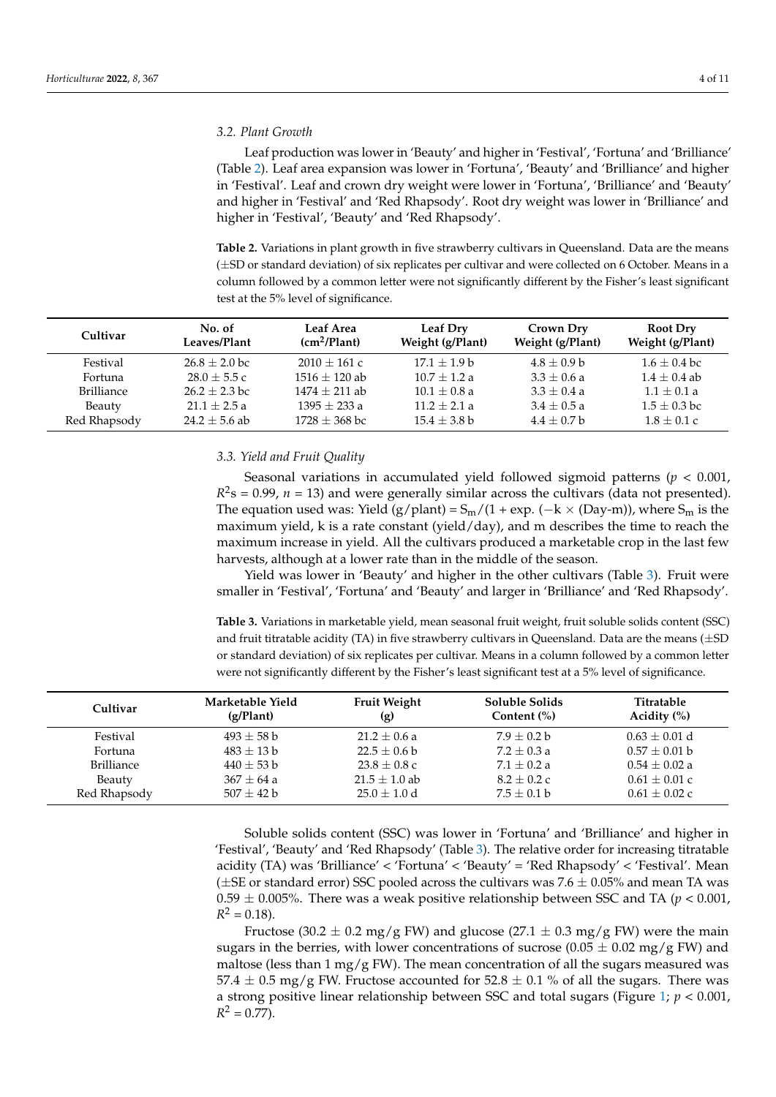#### *3.2. Plant Growth*

Leaf production was lower in 'Beauty' and higher in 'Festival', 'Fortuna' and 'Brilliance' (Table [2\)](#page-3-0). Leaf area expansion was lower in 'Fortuna', 'Beauty' and 'Brilliance' and higher in 'Festival'. Leaf and crown dry weight were lower in 'Fortuna', 'Brilliance' and 'Beauty' and higher in 'Festival' and 'Red Rhapsody'. Root dry weight was lower in 'Brilliance' and higher in 'Festival', 'Beauty' and 'Red Rhapsody'.

<span id="page-3-0"></span>**Table 2.** Variations in plant growth in five strawberry cultivars in Queensland. Data are the means (±SD or standard deviation) of six replicates per cultivar and were collected on 6 October. Means in a column followed by a common letter were not significantly different by the Fisher's least significant test at the 5% level of significance.

| Cultivar          | No. of          | Leaf Area         | Leaf Dry         | Crown Dry        | <b>Root Dry</b>  |
|-------------------|-----------------|-------------------|------------------|------------------|------------------|
|                   | Leaves/Plant    | $(cm^2/Plant)$    | Weight (g/Plant) | Weight (g/Plant) | Weight (g/Plant) |
| Festival          | $26.8 + 2.0$ bc | $2010 + 161c$     | $17.1 + 1.9 b$   | $4.8 + 0.9 b$    | $1.6 + 0.4$ bc   |
| Fortuna           | $28.0 + 5.5c$   | $1516 + 120$ ab   | $10.7 + 1.2 a$   | $3.3 + 0.6 a$    | $1.4 + 0.4$ ab   |
| <b>Brilliance</b> | $26.2 + 2.3$ bc | $1474 + 211$ ab   | $10.1 + 0.8$ a   | $3.3 + 0.4 a$    | $1.1 + 0.1 a$    |
| Beauty            | $21.1 + 2.5a$   | $1395 + 233a$     | $11.2 + 2.1 a$   | $3.4 + 0.5 a$    | $1.5 + 0.3$ bc   |
| Red Rhapsody      | $24.2 + 5.6$ ab | $1728 \pm 368$ bc | $15.4 + 3.8 b$   | $4.4 + 0.7 b$    | $1.8 + 0.1c$     |

### *3.3. Yield and Fruit Quality*

Seasonal variations in accumulated yield followed sigmoid patterns (*p* < 0.001,  $R<sup>2</sup>s = 0.99$ ,  $n = 13$ ) and were generally similar across the cultivars (data not presented). The equation used was: Yield (g/plant) =  $S_m/(1 + \exp.(-k \times (Day-m))$ , where  $S_m$  is the maximum yield, k is a rate constant (yield/day), and m describes the time to reach the maximum increase in yield. All the cultivars produced a marketable crop in the last few harvests, although at a lower rate than in the middle of the season.

Yield was lower in 'Beauty' and higher in the other cultivars (Table [3\)](#page-3-1). Fruit were smaller in 'Festival', 'Fortuna' and 'Beauty' and larger in 'Brilliance' and 'Red Rhapsody'.

<span id="page-3-1"></span>**Table 3.** Variations in marketable yield, mean seasonal fruit weight, fruit soluble solids content (SSC) and fruit titratable acidity (TA) in five strawberry cultivars in Queensland. Data are the means  $(\pm SD)$ or standard deviation) of six replicates per cultivar. Means in a column followed by a common letter were not significantly different by the Fisher's least significant test at a 5% level of significance.

| Cultivar          | Marketable Yield<br>(g/Plant) | <b>Fruit Weight</b><br>(g) | Soluble Solids<br>Content $(\%)$ | Titratable<br>Acidity $(\% )$ |
|-------------------|-------------------------------|----------------------------|----------------------------------|-------------------------------|
| Festival          | $493 + 58$ b                  | $21.2 + 0.6 a$             | $7.9 + 0.2 b$                    | $0.63 + 0.01$ d               |
| Fortuna           | $483 + 13b$                   | $22.5 + 0.6 b$             | $7.2 + 0.3 a$                    | $0.57 + 0.01$ b               |
| <b>Brilliance</b> | $440 \pm 53$ b                | $23.8 \pm 0.8$ c           | $7.1 + 0.2 a$                    | $0.54 + 0.02 a$               |
| Beauty            | $367 + 64a$                   | $21.5 \pm 1.0$ ab          | $8.2 + 0.2c$                     | $0.61 + 0.01$ c               |
| Red Rhapsody      | $507 + 42 b$                  | $25.0 + 1.0$ d             | $7.5 + 0.1 b$                    | $0.61 + 0.02c$                |

Soluble solids content (SSC) was lower in 'Fortuna' and 'Brilliance' and higher in 'Festival', 'Beauty' and 'Red Rhapsody' (Table [3\)](#page-3-1). The relative order for increasing titratable acidity (TA) was 'Brilliance' < 'Fortuna' < 'Beauty' = 'Red Rhapsody' < 'Festival'. Mean ( $\pm$ SE or standard error) SSC pooled across the cultivars was 7.6  $\pm$  0.05% and mean TA was  $0.59 \pm 0.005$ %. There was a weak positive relationship between SSC and TA ( $p < 0.001$ ),  $R^2 = 0.18$ .

Fructose (30.2  $\pm$  0.2 mg/g FW) and glucose (27.1  $\pm$  0.3 mg/g FW) were the main sugars in the berries, with lower concentrations of sucrose (0.05  $\pm$  0.02 mg/g FW) and maltose (less than 1 mg/g FW). The mean concentration of all the sugars measured was 57.4  $\pm$  0.5 mg/g FW. Fructose accounted for 52.8  $\pm$  0.1 % of all the sugars. There was a strong positive linear relationship between SSC and total sugars (Figure [1;](#page-4-0) *p* < 0.001,  $R^2 = 0.77$ ).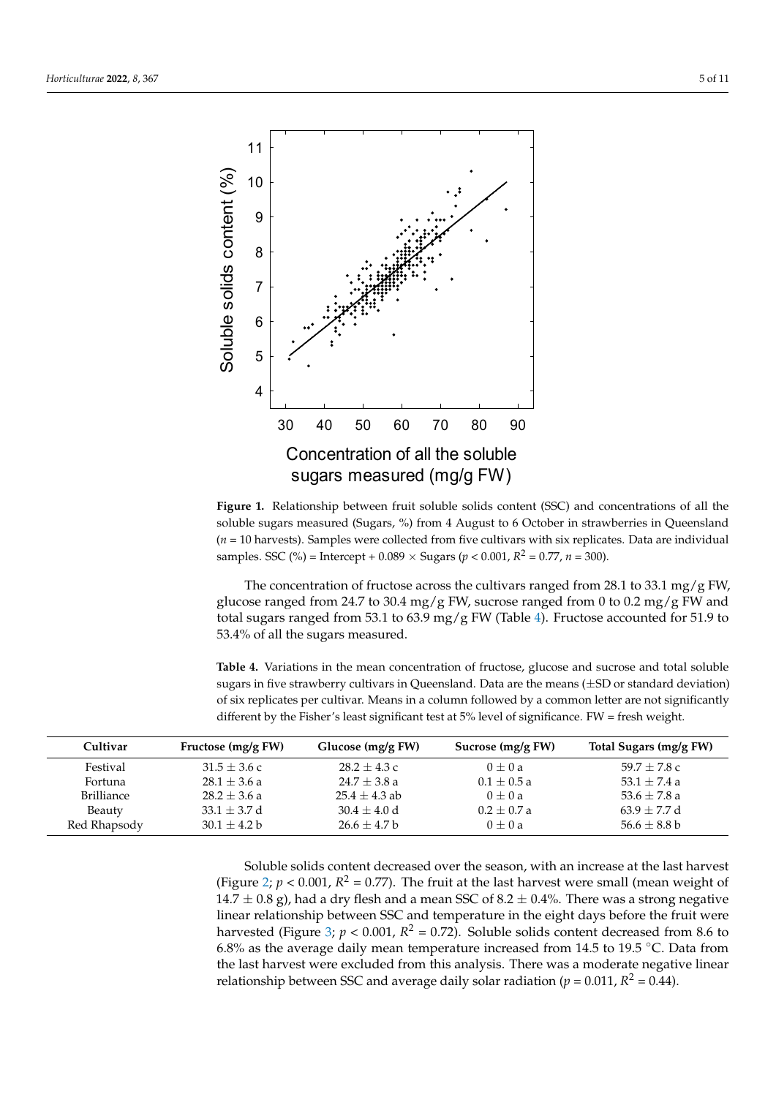<span id="page-4-0"></span>

Figure 1. Relationship between fruit soluble solids content (SSC) and concentrations of all the soluble sugars measured (Sugars, %) from 4 August to 6 October in strawberries in Queensland  $(n = 10$  harvests). Samples were collected from five cultivars with six replicates. Data are individual samples. SSC (%) = Intercept +  $0.089 \times$  Sugars ( $p < 0.001$ ,  $R^2 = 0.77$ ,  $n = 300$ ).

The concentration of fructose across the cultivars ranged from 28.1 to 33.1 mg/g FW, glucose ranged from 24.7 to 30.4 mg/g FW, sucrose ranged from 0 to 0.2 mg/g FW and total sugars ranged from 53.1 to 63.9 mg/g FW (Table [4\)](#page-4-1). Fructose accounted for 51.9 to 53.4% of all the sugars measured.

<span id="page-4-1"></span>different by the Fisher's least significant test at 5% level of significance. FW = fresh weight. Table 4. Variations in the mean concentration of fructose, glucose and sucrose and total soluble sugars in five strawberry cultivars in Queensland. Data are the means  $(\pm SD)$  or standard deviation) of six replicates per cultivar. Means in a column followed by a common letter are not significantly

| different by the Fisher's least significant test at $5\%$ level of significance. FW = fresh weight. |                    |                   |                   |                        |
|-----------------------------------------------------------------------------------------------------|--------------------|-------------------|-------------------|------------------------|
| Cultivar                                                                                            | Fructose (mg/g FW) | Glucose (mg/g FW) | Sucrose (mg/g FW) | Total Sugars (mg/g FW) |
| Festival                                                                                            | $31.5 \pm 3.6$ c   | $28.2 + 4.3c$     | $0 + 0a$          | $59.7 + 7.8$ c         |
| Fortuna                                                                                             | $28.1 \pm 3.6$ a   | $24.7 \pm 3.8$ a  | $0.1 \pm 0.5 a$   | 53.1 $\pm$ 7.4 a       |
| Brilliance                                                                                          | $28.2 \pm 3.6$ a   | $25.4 + 4.3$ ab   | $0 + 0a$          | 53.6 $\pm$ 7.8 a       |
| <b>Beauty</b>                                                                                       | $33.1 \pm 3.7$ d   | $30.4 \pm 4.0$ d  | $0.2 + 0.7 a$     | $63.9 \pm 7.7$ d       |
| Red Rhapsody                                                                                        | $30.1 \pm 4.2 b$   | $26.6 \pm 4.7$ b  | $0 \pm 0 a$       | $56.6 \pm 8.8 b$       |

the last harvest were excluded from this analysis. There was a moderate negative linear the last harvest were excluded from this analysis. There was a moderate negative linear harvested (Figure [3;](#page-5-1)  $p < 0.001$ ,  $R^2 = 0.72$ ). Soluble solids content decreased from 8.6 to (Figure [2;](#page-5-0)  $p < 0.001$ ,  $R^2 = 0.77$ ). The fruit at the last harvest were small (mean weight of relationship between SSC and average daily solar radiation ( $p = 0.011$ ,  $R^2 = 0.44$ ). Soluble solids content decreased over the season, with an increase at the last harvest  $14.7 \pm 0.8$  g), had a dry flesh and a mean SSC of 8.2  $\pm$  0.4%. There was a strong negative linear relationship between SSC and temperature in the eight days before the fruit were 6.8% as the average daily mean temperature increased from 14.5 to 19.5 ◦C. Data from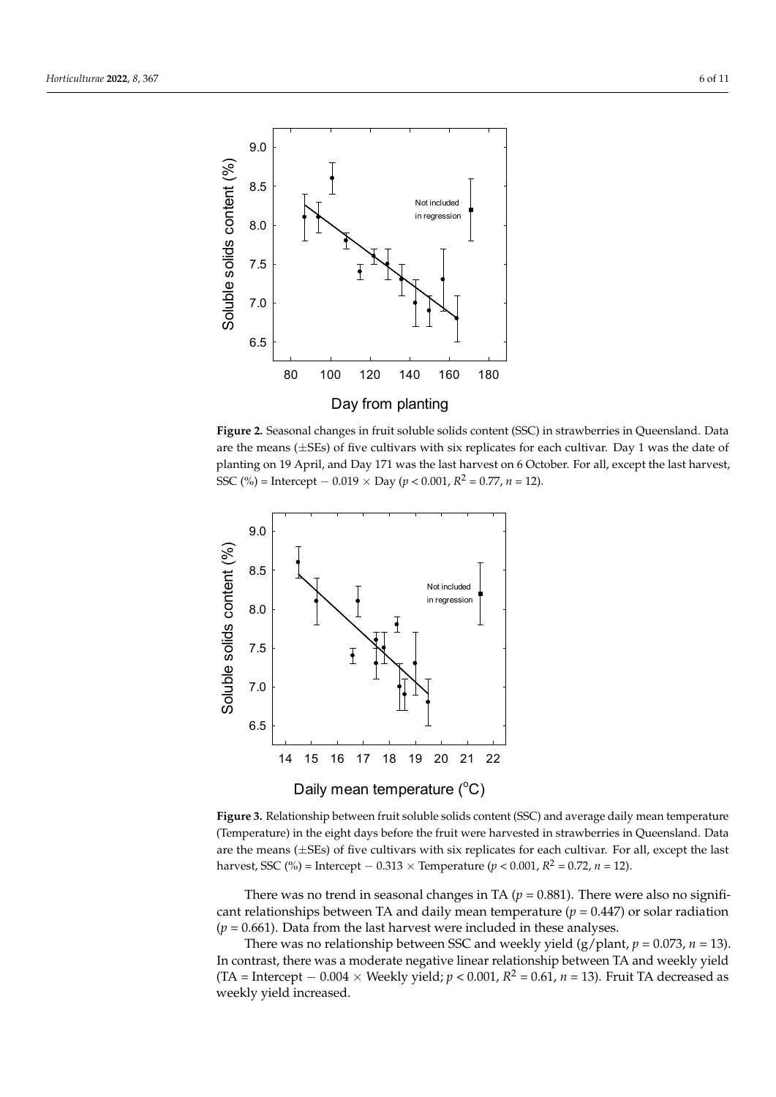<span id="page-5-0"></span>

**Figure 2.** Seasonal changes in fruit soluble solids content (SSC) in strawberries in Queensland. Data **Figure 2.** Seasonal changes in fruit soluble solids content (SSC) in strawberries in Queensland. Data are the means ( $\pm$ SEs) of five cultivars with six replicates for each cultivar. Day 1 was the date of planting on 19 April, and Day 171 was the last harvest on 6 October. For all, except the last harvest, planting on 19 April, and Day 171 was the last harvest on 6 October. For all, except the last harvest, SSC (%) = Intercept − 0.019 × Day (*p* < 0.001, *R*<sup>2</sup> = 0.77, *n* = 12). SSC (%) = Intercept − 0.019 × Day (*p* < 0.001, *R* <sup>2</sup> = 0.77, *n* = 12).

<span id="page-5-1"></span>

Figure 3. Relationship between fruit soluble solids content (SSC) and average daily mean temperature (Temperature) in the eight days before the fruit were harvested in strawberries in Queensland. Data are the means ( $\pm$ SEs) of five cultivars with six replicates for each cultivar. For all, except the last harvest, SSC (%) = Intercept − 0.313 × Temperature (*p* < 0.001,  $R^2 = 0.72$ , *n* = 12).

There was no trend in seasonal changes in TA ( $p = 0.881$ ). There were also no significant relationships between TA and daily mean temperature ( $p = 0.447$ ) or solar radiation  $(p = 0.661)$ . Data from the last harvest were included in these analyses.

There was no relationship between SSC and weekly yield  $(g/plant, p = 0.073, n = 13)$ . der high temperature were possible relative to  $\frac{1}{2}$  of  $\frac{1}{2}$  of  $\frac{1}{2}$  and  $\frac{1}{2}$  demonstration under warm nights and  $\frac{1}{2}$  of  $\frac{1}{2}$  and  $\frac{1}{2}$  demonstration under  $\frac{1}{2}$  and  $\frac{1}{2}$  demonst (TA = Intercept  $-0.004 \times$  Weekly yield; *p* < 0.001, *R*<sup>2</sup> = 0.61, *n* = 13). Fruit TA decreased as wookly yield increased warming will decrease from the profitability and the profitability of strawberry cultivation in some  $\alpha$ In contrast, there was a moderate negative linear relationship between TA and weekly yield weekly yield increased.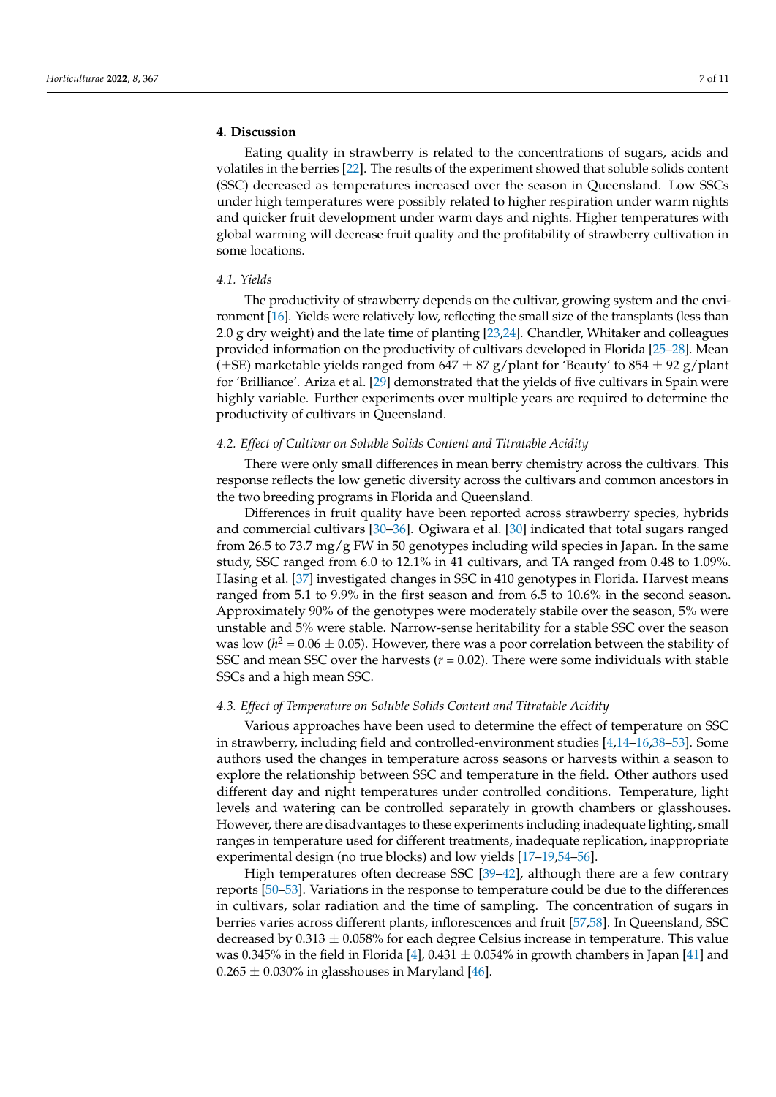## **4. Discussion**

Eating quality in strawberry is related to the concentrations of sugars, acids and volatiles in the berries [\[22\]](#page-8-16). The results of the experiment showed that soluble solids content (SSC) decreased as temperatures increased over the season in Queensland. Low SSCs under high temperatures were possibly related to higher respiration under warm nights and quicker fruit development under warm days and nights. Higher temperatures with global warming will decrease fruit quality and the profitability of strawberry cultivation in some locations.

### *4.1. Yields*

The productivity of strawberry depends on the cultivar, growing system and the environment [\[16\]](#page-8-10). Yields were relatively low, reflecting the small size of the transplants (less than 2.0 g dry weight) and the late time of planting [\[23,](#page-8-17)[24\]](#page-8-18). Chandler, Whitaker and colleagues provided information on the productivity of cultivars developed in Florida [\[25–](#page-8-19)[28\]](#page-9-0). Mean ( $\pm$ SE) marketable yields ranged from 647  $\pm$  87 g/plant for 'Beauty' to 854  $\pm$  92 g/plant for 'Brilliance'. Ariza et al. [\[29\]](#page-9-1) demonstrated that the yields of five cultivars in Spain were highly variable. Further experiments over multiple years are required to determine the productivity of cultivars in Queensland.

### *4.2. Effect of Cultivar on Soluble Solids Content and Titratable Acidity*

There were only small differences in mean berry chemistry across the cultivars. This response reflects the low genetic diversity across the cultivars and common ancestors in the two breeding programs in Florida and Queensland.

Differences in fruit quality have been reported across strawberry species, hybrids and commercial cultivars [\[30](#page-9-2)[–36\]](#page-9-3). Ogiwara et al. [\[30\]](#page-9-2) indicated that total sugars ranged from 26.5 to 73.7 mg/g FW in 50 genotypes including wild species in Japan. In the same study, SSC ranged from 6.0 to 12.1% in 41 cultivars, and TA ranged from 0.48 to 1.09%. Hasing et al. [\[37\]](#page-9-4) investigated changes in SSC in 410 genotypes in Florida. Harvest means ranged from 5.1 to 9.9% in the first season and from 6.5 to 10.6% in the second season. Approximately 90% of the genotypes were moderately stabile over the season, 5% were unstable and 5% were stable. Narrow-sense heritability for a stable SSC over the season was low ( $h^2 = 0.06 \pm 0.05$ ). However, there was a poor correlation between the stability of SSC and mean SSC over the harvests  $(r = 0.02)$ . There were some individuals with stable SSCs and a high mean SSC.

## *4.3. Effect of Temperature on Soluble Solids Content and Titratable Acidity*

Various approaches have been used to determine the effect of temperature on SSC in strawberry, including field and controlled-environment studies [\[4,](#page-8-2)[14](#page-8-9)[–16,](#page-8-10)[38–](#page-9-5)[53\]](#page-9-6). Some authors used the changes in temperature across seasons or harvests within a season to explore the relationship between SSC and temperature in the field. Other authors used different day and night temperatures under controlled conditions. Temperature, light levels and watering can be controlled separately in growth chambers or glasshouses. However, there are disadvantages to these experiments including inadequate lighting, small ranges in temperature used for different treatments, inadequate replication, inappropriate experimental design (no true blocks) and low yields [\[17–](#page-8-11)[19,](#page-8-12)[54](#page-9-7)[–56\]](#page-9-8).

High temperatures often decrease SSC [\[39–](#page-9-9)[42\]](#page-9-10), although there are a few contrary reports [\[50–](#page-9-11)[53\]](#page-9-6). Variations in the response to temperature could be due to the differences in cultivars, solar radiation and the time of sampling. The concentration of sugars in berries varies across different plants, inflorescences and fruit [\[57](#page-10-0)[,58\]](#page-10-1). In Queensland, SSC decreased by  $0.313 \pm 0.058\%$  for each degree Celsius increase in temperature. This value was 0.345% in the field in Florida [\[4\]](#page-8-2),  $0.431 \pm 0.054\%$  in growth chambers in Japan [\[41\]](#page-9-12) and  $0.265 \pm 0.030\%$  in glasshouses in Maryland [\[46\]](#page-9-13).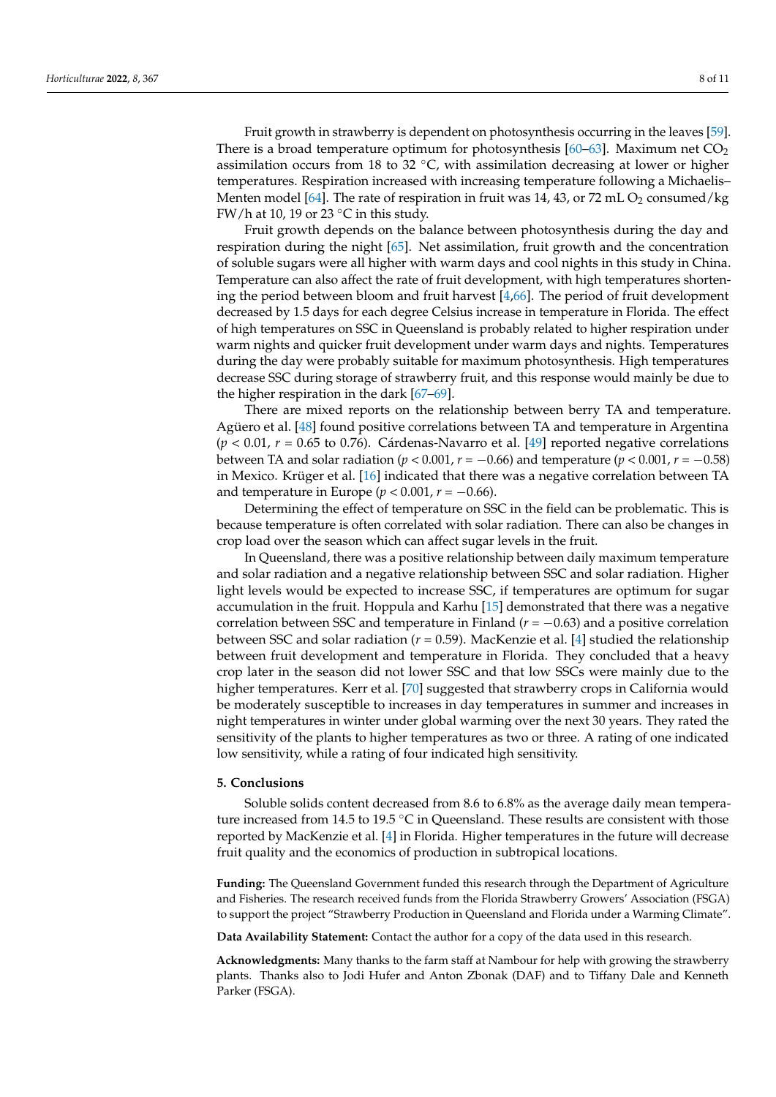Fruit growth in strawberry is dependent on photosynthesis occurring in the leaves [\[59\]](#page-10-2). There is a broad temperature optimum for photosynthesis  $[60-63]$  $[60-63]$ . Maximum net  $CO<sub>2</sub>$ assimilation occurs from 18 to 32  $°C$ , with assimilation decreasing at lower or higher temperatures. Respiration increased with increasing temperature following a Michaelis– Menten model [\[64\]](#page-10-5). The rate of respiration in fruit was 14, 43, or 72 mL  $O_2$  consumed/kg FW/h at 10, 19 or 23  $\mathrm{^{\circ}C}$  in this study.

Fruit growth depends on the balance between photosynthesis during the day and respiration during the night [\[65\]](#page-10-6). Net assimilation, fruit growth and the concentration of soluble sugars were all higher with warm days and cool nights in this study in China. Temperature can also affect the rate of fruit development, with high temperatures shortening the period between bloom and fruit harvest [\[4,](#page-8-2)[66\]](#page-10-7). The period of fruit development decreased by 1.5 days for each degree Celsius increase in temperature in Florida. The effect of high temperatures on SSC in Queensland is probably related to higher respiration under warm nights and quicker fruit development under warm days and nights. Temperatures during the day were probably suitable for maximum photosynthesis. High temperatures decrease SSC during storage of strawberry fruit, and this response would mainly be due to the higher respiration in the dark [\[67](#page-10-8)[–69\]](#page-10-9).

There are mixed reports on the relationship between berry TA and temperature. Agüero et al. [\[48\]](#page-9-14) found positive correlations between TA and temperature in Argentina (*p* < 0.01, *r* = 0.65 to 0.76). Cárdenas-Navarro et al. [\[49\]](#page-9-15) reported negative correlations between TA and solar radiation ( $p < 0.001$ ,  $r = -0.66$ ) and temperature ( $p < 0.001$ ,  $r = -0.58$ ) in Mexico. Krüger et al. [\[16\]](#page-8-10) indicated that there was a negative correlation between TA and temperature in Europe ( $p < 0.001$ ,  $r = -0.66$ ).

Determining the effect of temperature on SSC in the field can be problematic. This is because temperature is often correlated with solar radiation. There can also be changes in crop load over the season which can affect sugar levels in the fruit.

In Queensland, there was a positive relationship between daily maximum temperature and solar radiation and a negative relationship between SSC and solar radiation. Higher light levels would be expected to increase SSC, if temperatures are optimum for sugar accumulation in the fruit. Hoppula and Karhu [\[15\]](#page-8-20) demonstrated that there was a negative correlation between SSC and temperature in Finland ( $r = -0.63$ ) and a positive correlation between SSC and solar radiation (*r* = 0.59). MacKenzie et al. [\[4\]](#page-8-2) studied the relationship between fruit development and temperature in Florida. They concluded that a heavy crop later in the season did not lower SSC and that low SSCs were mainly due to the higher temperatures. Kerr et al. [\[70\]](#page-10-10) suggested that strawberry crops in California would be moderately susceptible to increases in day temperatures in summer and increases in night temperatures in winter under global warming over the next 30 years. They rated the sensitivity of the plants to higher temperatures as two or three. A rating of one indicated low sensitivity, while a rating of four indicated high sensitivity.

#### **5. Conclusions**

Soluble solids content decreased from 8.6 to 6.8% as the average daily mean temperature increased from 14.5 to 19.5 ℃ in Queensland. These results are consistent with those reported by MacKenzie et al. [\[4\]](#page-8-2) in Florida. Higher temperatures in the future will decrease fruit quality and the economics of production in subtropical locations.

**Funding:** The Queensland Government funded this research through the Department of Agriculture and Fisheries. The research received funds from the Florida Strawberry Growers' Association (FSGA) to support the project "Strawberry Production in Queensland and Florida under a Warming Climate".

**Data Availability Statement:** Contact the author for a copy of the data used in this research.

**Acknowledgments:** Many thanks to the farm staff at Nambour for help with growing the strawberry plants. Thanks also to Jodi Hufer and Anton Zbonak (DAF) and to Tiffany Dale and Kenneth Parker (FSGA).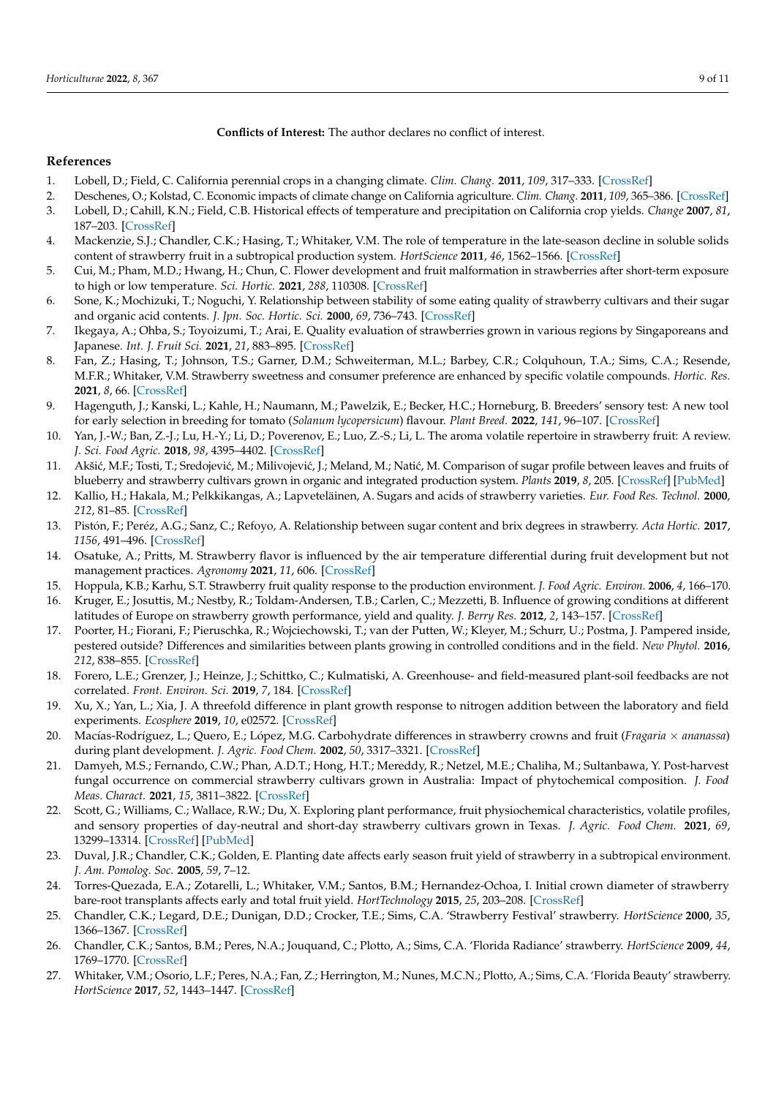**Conflicts of Interest:** The author declares no conflict of interest.

## **References**

- <span id="page-8-0"></span>1. Lobell, D.; Field, C. California perennial crops in a changing climate. *Clim. Chang.* **2011**, *109*, 317–333. [\[CrossRef\]](http://doi.org/10.1007/s10584-011-0303-6)
- <span id="page-8-1"></span>2. Deschenes, O.; Kolstad, C. Economic impacts of climate change on California agriculture. *Clim. Chang.* **2011**, *109*, 365–386. [\[CrossRef\]](http://doi.org/10.1007/s10584-011-0322-3) 3. Lobell, D.; Cahill, K.N.; Field, C.B. Historical effects of temperature and precipitation on California crop yields. *Change* **2007**, *81*,
- 187–203. [\[CrossRef\]](http://doi.org/10.1007/s10584-006-9141-3)
- <span id="page-8-2"></span>4. Mackenzie, S.J.; Chandler, C.K.; Hasing, T.; Whitaker, V.M. The role of temperature in the late-season decline in soluble solids content of strawberry fruit in a subtropical production system. *HortScience* **2011**, *46*, 1562–1566. [\[CrossRef\]](http://doi.org/10.21273/HORTSCI.46.11.1562)
- <span id="page-8-3"></span>5. Cui, M.; Pham, M.D.; Hwang, H.; Chun, C. Flower development and fruit malformation in strawberries after short-term exposure to high or low temperature. *Sci. Hortic.* **2021**, *288*, 110308. [\[CrossRef\]](http://doi.org/10.1016/j.scienta.2021.110308)
- <span id="page-8-4"></span>6. Sone, K.; Mochizuki, T.; Noguchi, Y. Relationship between stability of some eating quality of strawberry cultivars and their sugar and organic acid contents. *J. Jpn. Soc. Hortic. Sci.* **2000**, *69*, 736–743. [\[CrossRef\]](http://doi.org/10.2503/jjshs.69.736)
- 7. Ikegaya, A.; Ohba, S.; Toyoizumi, T.; Arai, E. Quality evaluation of strawberries grown in various regions by Singaporeans and Japanese. *Int. J. Fruit Sci.* **2021**, *21*, 883–895. [\[CrossRef\]](http://doi.org/10.1080/15538362.2021.1939832)
- 8. Fan, Z.; Hasing, T.; Johnson, T.S.; Garner, D.M.; Schweiterman, M.L.; Barbey, C.R.; Colquhoun, T.A.; Sims, C.A.; Resende, M.F.R.; Whitaker, V.M. Strawberry sweetness and consumer preference are enhanced by specific volatile compounds. *Hortic. Res.* **2021**, *8*, 66. [\[CrossRef\]](http://doi.org/10.1038/s41438-021-00502-5)
- <span id="page-8-5"></span>9. Hagenguth, J.; Kanski, L.; Kahle, H.; Naumann, M.; Pawelzik, E.; Becker, H.C.; Horneburg, B. Breeders' sensory test: A new tool for early selection in breeding for tomato (*Solanum lycopersicum*) flavour. *Plant Breed.* **2022**, *141*, 96–107. [\[CrossRef\]](http://doi.org/10.1111/pbr.12994)
- <span id="page-8-6"></span>10. Yan, J.-W.; Ban, Z.-J.; Lu, H.-Y.; Li, D.; Poverenov, E.; Luo, Z.-S.; Li, L. The aroma volatile repertoire in strawberry fruit: A review. *J. Sci. Food Agric.* **2018**, *98*, 4395–4402. [\[CrossRef\]](http://doi.org/10.1002/jsfa.9039)
- <span id="page-8-7"></span>11. Akšić, M.F.; Tosti, T.; Sredojević, M.; Milivojević, J.; Meland, M.; Natić, M. Comparison of sugar profile between leaves and fruits of blueberry and strawberry cultivars grown in organic and integrated production system. *Plants* **2019**, *8*, 205. [\[CrossRef\]](http://doi.org/10.3390/plants8070205) [\[PubMed\]](http://www.ncbi.nlm.nih.gov/pubmed/31277368)
- <span id="page-8-13"></span>12. Kallio, H.; Hakala, M.; Pelkkikangas, A.; Lapveteläinen, A. Sugars and acids of strawberry varieties. *Eur. Food Res. Technol.* **2000**, *212*, 81–85. [\[CrossRef\]](http://doi.org/10.1007/s002170000244)
- <span id="page-8-8"></span>13. Pistón, F.; Peréz, A.G.; Sanz, C.; Refoyo, A. Relationship between sugar content and brix degrees in strawberry. *Acta Hortic.* **2017**, *1156*, 491–496. [\[CrossRef\]](http://doi.org/10.17660/ActaHortic.2017.1156.72)
- <span id="page-8-9"></span>14. Osatuke, A.; Pritts, M. Strawberry flavor is influenced by the air temperature differential during fruit development but not management practices. *Agronomy* **2021**, *11*, 606. [\[CrossRef\]](http://doi.org/10.3390/agronomy11030606)
- <span id="page-8-20"></span>15. Hoppula, K.B.; Karhu, S.T. Strawberry fruit quality response to the production environment. *J. Food Agric. Environ.* **2006**, *4*, 166–170.
- <span id="page-8-10"></span>16. Kruger, E.; Josuttis, M.; Nestby, R.; Toldam-Andersen, T.B.; Carlen, C.; Mezzetti, B. Influence of growing conditions at different latitudes of Europe on strawberry growth performance, yield and quality. *J. Berry Res.* **2012**, *2*, 143–157. [\[CrossRef\]](http://doi.org/10.3233/JBR-2012-036)
- <span id="page-8-11"></span>17. Poorter, H.; Fiorani, F.; Pieruschka, R.; Wojciechowski, T.; van der Putten, W.; Kleyer, M.; Schurr, U.; Postma, J. Pampered inside, pestered outside? Differences and similarities between plants growing in controlled conditions and in the field. *New Phytol.* **2016**, *212*, 838–855. [\[CrossRef\]](http://doi.org/10.1111/nph.14243)
- 18. Forero, L.E.; Grenzer, J.; Heinze, J.; Schittko, C.; Kulmatiski, A. Greenhouse- and field-measured plant-soil feedbacks are not correlated. *Front. Environ. Sci.* **2019**, *7*, 184. [\[CrossRef\]](http://doi.org/10.3389/fenvs.2019.00184)
- <span id="page-8-12"></span>19. Xu, X.; Yan, L.; Xia, J. A threefold difference in plant growth response to nitrogen addition between the laboratory and field experiments. *Ecosphere* **2019**, *10*, e02572. [\[CrossRef\]](http://doi.org/10.1002/ecs2.2572)
- <span id="page-8-14"></span>20. Macías-Rodríguez, L.; Quero, E.; López, M.G. Carbohydrate differences in strawberry crowns and fruit (*Fragaria* × *ananassa*) during plant development. *J. Agric. Food Chem.* **2002**, *50*, 3317–3321. [\[CrossRef\]](http://doi.org/10.1021/jf011491p)
- <span id="page-8-15"></span>21. Damyeh, M.S.; Fernando, C.W.; Phan, A.D.T.; Hong, H.T.; Mereddy, R.; Netzel, M.E.; Chaliha, M.; Sultanbawa, Y. Post-harvest fungal occurrence on commercial strawberry cultivars grown in Australia: Impact of phytochemical composition. *J. Food Meas. Charact.* **2021**, *15*, 3811–3822. [\[CrossRef\]](http://doi.org/10.1007/s11694-021-00924-8)
- <span id="page-8-16"></span>22. Scott, G.; Williams, C.; Wallace, R.W.; Du, X. Exploring plant performance, fruit physiochemical characteristics, volatile profiles, and sensory properties of day-neutral and short-day strawberry cultivars grown in Texas. *J. Agric. Food Chem.* **2021**, *69*, 13299–13314. [\[CrossRef\]](http://doi.org/10.1021/acs.jafc.1c00915) [\[PubMed\]](http://www.ncbi.nlm.nih.gov/pubmed/33988999)
- <span id="page-8-17"></span>23. Duval, J.R.; Chandler, C.K.; Golden, E. Planting date affects early season fruit yield of strawberry in a subtropical environment. *J. Am. Pomolog. Soc.* **2005**, *59*, 7–12.
- <span id="page-8-18"></span>24. Torres-Quezada, E.A.; Zotarelli, L.; Whitaker, V.M.; Santos, B.M.; Hernandez-Ochoa, I. Initial crown diameter of strawberry bare-root transplants affects early and total fruit yield. *HortTechnology* **2015**, *25*, 203–208. [\[CrossRef\]](http://doi.org/10.21273/HORTTECH.25.2.203)
- <span id="page-8-19"></span>25. Chandler, C.K.; Legard, D.E.; Dunigan, D.D.; Crocker, T.E.; Sims, C.A. 'Strawberry Festival' strawberry. *HortScience* **2000**, *35*, 1366–1367. [\[CrossRef\]](http://doi.org/10.21273/HORTSCI.35.7.1366)
- 26. Chandler, C.K.; Santos, B.M.; Peres, N.A.; Jouquand, C.; Plotto, A.; Sims, C.A. 'Florida Radiance' strawberry. *HortScience* **2009**, *44*, 1769–1770. [\[CrossRef\]](http://doi.org/10.21273/HORTSCI.44.6.1769)
- 27. Whitaker, V.M.; Osorio, L.F.; Peres, N.A.; Fan, Z.; Herrington, M.; Nunes, M.C.N.; Plotto, A.; Sims, C.A. 'Florida Beauty' strawberry. *HortScience* **2017**, *52*, 1443–1447. [\[CrossRef\]](http://doi.org/10.21273/HORTSCI12281-17)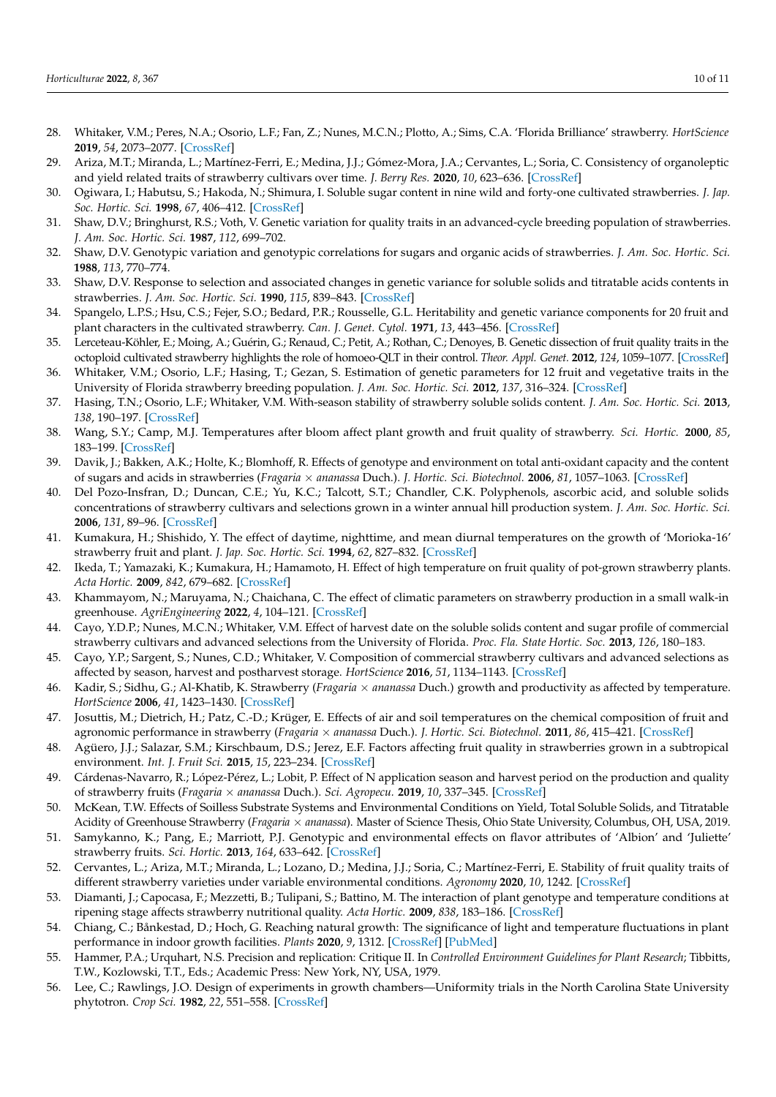- <span id="page-9-0"></span>28. Whitaker, V.M.; Peres, N.A.; Osorio, L.F.; Fan, Z.; Nunes, M.C.N.; Plotto, A.; Sims, C.A. 'Florida Brilliance' strawberry. *HortScience* **2019**, *54*, 2073–2077. [\[CrossRef\]](http://doi.org/10.21273/HORTSCI14327-19)
- <span id="page-9-1"></span>29. Ariza, M.T.; Miranda, L.; Martínez-Ferri, E.; Medina, J.J.; Gómez-Mora, J.A.; Cervantes, L.; Soria, C. Consistency of organoleptic and yield related traits of strawberry cultivars over time. *J. Berry Res.* **2020**, *10*, 623–636. [\[CrossRef\]](http://doi.org/10.3233/JBR-200548)
- <span id="page-9-2"></span>30. Ogiwara, I.; Habutsu, S.; Hakoda, N.; Shimura, I. Soluble sugar content in nine wild and forty-one cultivated strawberries. *J. Jap. Soc. Hortic. Sci.* **1998**, *67*, 406–412. [\[CrossRef\]](http://doi.org/10.2503/jjshs.67.406)
- 31. Shaw, D.V.; Bringhurst, R.S.; Voth, V. Genetic variation for quality traits in an advanced-cycle breeding population of strawberries. *J. Am. Soc. Hortic. Sci.* **1987**, *112*, 699–702.
- 32. Shaw, D.V. Genotypic variation and genotypic correlations for sugars and organic acids of strawberries. *J. Am. Soc. Hortic. Sci.* **1988**, *113*, 770–774.
- 33. Shaw, D.V. Response to selection and associated changes in genetic variance for soluble solids and titratable acids contents in strawberries. *J. Am. Soc. Hortic. Sci.* **1990**, *115*, 839–843. [\[CrossRef\]](http://doi.org/10.21273/JASHS.115.5.839)
- 34. Spangelo, L.P.S.; Hsu, C.S.; Fejer, S.O.; Bedard, P.R.; Rousselle, G.L. Heritability and genetic variance components for 20 fruit and plant characters in the cultivated strawberry. *Can. J. Genet. Cytol.* **1971**, *13*, 443–456. [\[CrossRef\]](http://doi.org/10.1139/g71-068)
- 35. Lerceteau-Köhler, E.; Moing, A.; Guérin, G.; Renaud, C.; Petit, A.; Rothan, C.; Denoyes, B. Genetic dissection of fruit quality traits in the octoploid cultivated strawberry highlights the role of homoeo-QLT in their control. *Theor. Appl. Genet.* **2012**, *124*, 1059–1077. [\[CrossRef\]](http://doi.org/10.1007/s00122-011-1769-3)
- <span id="page-9-3"></span>36. Whitaker, V.M.; Osorio, L.F.; Hasing, T.; Gezan, S. Estimation of genetic parameters for 12 fruit and vegetative traits in the University of Florida strawberry breeding population. *J. Am. Soc. Hortic. Sci.* **2012**, *137*, 316–324. [\[CrossRef\]](http://doi.org/10.21273/JASHS.137.5.316)
- <span id="page-9-4"></span>37. Hasing, T.N.; Osorio, L.F.; Whitaker, V.M. With-season stability of strawberry soluble solids content. *J. Am. Soc. Hortic. Sci.* **2013**, *138*, 190–197. [\[CrossRef\]](http://doi.org/10.21273/JASHS.138.3.190)
- <span id="page-9-5"></span>38. Wang, S.Y.; Camp, M.J. Temperatures after bloom affect plant growth and fruit quality of strawberry. *Sci. Hortic.* **2000**, *85*, 183–199. [\[CrossRef\]](http://doi.org/10.1016/S0304-4238(99)00143-0)
- <span id="page-9-9"></span>39. Davik, J.; Bakken, A.K.; Holte, K.; Blomhoff, R. Effects of genotype and environment on total anti-oxidant capacity and the content of sugars and acids in strawberries (*Fragaria* × *ananassa* Duch.). *J. Hortic. Sci. Biotechnol.* **2006**, *81*, 1057–1063. [\[CrossRef\]](http://doi.org/10.1080/14620316.2006.11512171)
- 40. Del Pozo-Insfran, D.; Duncan, C.E.; Yu, K.C.; Talcott, S.T.; Chandler, C.K. Polyphenols, ascorbic acid, and soluble solids concentrations of strawberry cultivars and selections grown in a winter annual hill production system. *J. Am. Soc. Hortic. Sci.* **2006**, *131*, 89–96. [\[CrossRef\]](http://doi.org/10.21273/JASHS.131.1.89)
- <span id="page-9-12"></span>41. Kumakura, H.; Shishido, Y. The effect of daytime, nighttime, and mean diurnal temperatures on the growth of 'Morioka-16' strawberry fruit and plant. *J. Jap. Soc. Hortic. Sci.* **1994**, *62*, 827–832. [\[CrossRef\]](http://doi.org/10.2503/jjshs.62.827)
- <span id="page-9-10"></span>42. Ikeda, T.; Yamazaki, K.; Kumakura, H.; Hamamoto, H. Effect of high temperature on fruit quality of pot-grown strawberry plants. *Acta Hortic.* **2009**, *842*, 679–682. [\[CrossRef\]](http://doi.org/10.17660/ActaHortic.2009.842.146)
- 43. Khammayom, N.; Maruyama, N.; Chaichana, C. The effect of climatic parameters on strawberry production in a small walk-in greenhouse. *AgriEngineering* **2022**, *4*, 104–121. [\[CrossRef\]](http://doi.org/10.3390/agriengineering4010007)
- 44. Cayo, Y.D.P.; Nunes, M.C.N.; Whitaker, V.M. Effect of harvest date on the soluble solids content and sugar profile of commercial strawberry cultivars and advanced selections from the University of Florida. *Proc. Fla. State Hortic. Soc.* **2013**, *126*, 180–183.
- 45. Cayo, Y.P.; Sargent, S.; Nunes, C.D.; Whitaker, V. Composition of commercial strawberry cultivars and advanced selections as affected by season, harvest and postharvest storage. *HortScience* **2016**, *51*, 1134–1143. [\[CrossRef\]](http://doi.org/10.21273/HORTSCI10996-16)
- <span id="page-9-13"></span>46. Kadir, S.; Sidhu, G.; Al-Khatib, K. Strawberry (*Fragaria* × *ananassa* Duch.) growth and productivity as affected by temperature. *HortScience* **2006**, *41*, 1423–1430. [\[CrossRef\]](http://doi.org/10.21273/HORTSCI.41.6.1423)
- 47. Josuttis, M.; Dietrich, H.; Patz, C.-D.; Krüger, E. Effects of air and soil temperatures on the chemical composition of fruit and agronomic performance in strawberry (*Fragaria* × *ananassa* Duch.). *J. Hortic. Sci. Biotechnol.* **2011**, *86*, 415–421. [\[CrossRef\]](http://doi.org/10.1080/14620316.2011.11512783)
- <span id="page-9-14"></span>48. Agüero, J.J.; Salazar, S.M.; Kirschbaum, D.S.; Jerez, E.F. Factors affecting fruit quality in strawberries grown in a subtropical environment. *Int. J. Fruit Sci.* **2015**, *15*, 223–234. [\[CrossRef\]](http://doi.org/10.1080/15538362.2015.1017427)
- <span id="page-9-15"></span>49. Cárdenas-Navarro, R.; López-Pérez, L.; Lobit, P. Effect of N application season and harvest period on the production and quality of strawberry fruits (*Fragaria* × *ananassa* Duch.). *Sci. Agropecu.* **2019**, *10*, 337–345. [\[CrossRef\]](http://doi.org/10.17268/sci.agropecu.2019.03.03)
- <span id="page-9-11"></span>50. McKean, T.W. Effects of Soilless Substrate Systems and Environmental Conditions on Yield, Total Soluble Solids, and Titratable Acidity of Greenhouse Strawberry (*Fragaria* × *ananassa*). Master of Science Thesis, Ohio State University, Columbus, OH, USA, 2019.
- 51. Samykanno, K.; Pang, E.; Marriott, P.J. Genotypic and environmental effects on flavor attributes of 'Albion' and 'Juliette' strawberry fruits. *Sci. Hortic.* **2013**, *164*, 633–642. [\[CrossRef\]](http://doi.org/10.1016/j.scienta.2013.09.001)
- 52. Cervantes, L.; Ariza, M.T.; Miranda, L.; Lozano, D.; Medina, J.J.; Soria, C.; Martínez-Ferri, E. Stability of fruit quality traits of different strawberry varieties under variable environmental conditions. *Agronomy* **2020**, *10*, 1242. [\[CrossRef\]](http://doi.org/10.3390/agronomy10091242)
- <span id="page-9-6"></span>53. Diamanti, J.; Capocasa, F.; Mezzetti, B.; Tulipani, S.; Battino, M. The interaction of plant genotype and temperature conditions at ripening stage affects strawberry nutritional quality. *Acta Hortic.* **2009**, *838*, 183–186. [\[CrossRef\]](http://doi.org/10.17660/ActaHortic.2009.838.30)
- <span id="page-9-7"></span>54. Chiang, C.; Bånkestad, D.; Hoch, G. Reaching natural growth: The significance of light and temperature fluctuations in plant performance in indoor growth facilities. *Plants* **2020**, *9*, 1312. [\[CrossRef\]](http://doi.org/10.3390/plants9101312) [\[PubMed\]](http://www.ncbi.nlm.nih.gov/pubmed/33028014)
- 55. Hammer, P.A.; Urquhart, N.S. Precision and replication: Critique II. In *Controlled Environment Guidelines for Plant Research*; Tibbitts, T.W., Kozlowski, T.T., Eds.; Academic Press: New York, NY, USA, 1979.
- <span id="page-9-8"></span>56. Lee, C.; Rawlings, J.O. Design of experiments in growth chambers—Uniformity trials in the North Carolina State University phytotron. *Crop Sci.* **1982**, *22*, 551–558. [\[CrossRef\]](http://doi.org/10.2135/cropsci1982.0011183X002200030028x)